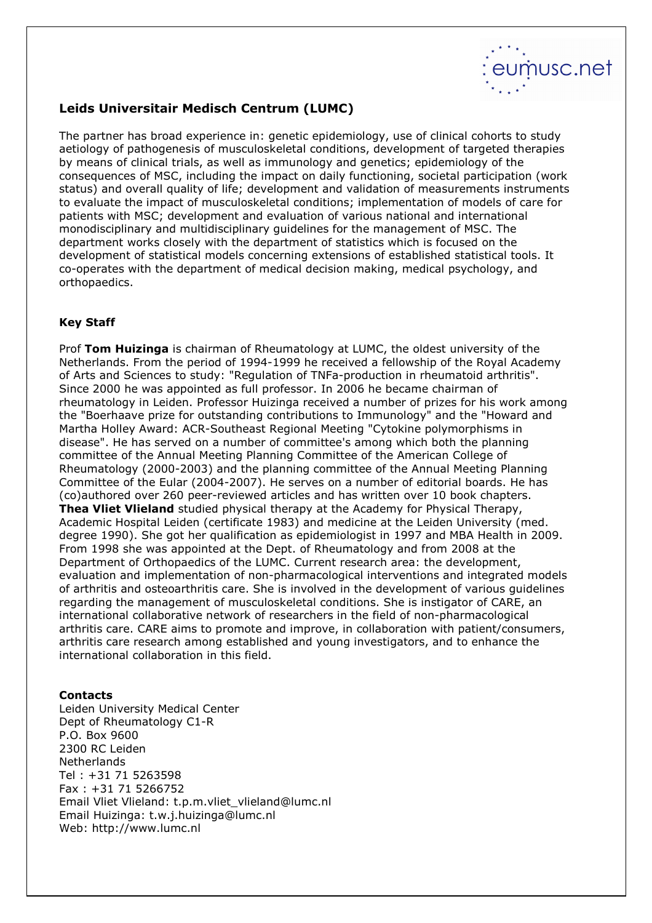

## Leids Universitair Medisch Centrum (LUMC)

The partner has broad experience in: genetic epidemiology, use of clinical cohorts to study aetiology of pathogenesis of musculoskeletal conditions, development of targeted therapies by means of clinical trials, as well as immunology and genetics; epidemiology of the consequences of MSC, including the impact on daily functioning, societal participation (work status) and overall quality of life; development and validation of measurements instruments to evaluate the impact of musculoskeletal conditions; implementation of models of care for patients with MSC; development and evaluation of various national and international monodisciplinary and multidisciplinary guidelines for the management of MSC. The department works closely with the department of statistics which is focused on the development of statistical models concerning extensions of established statistical tools. It co-operates with the department of medical decision making, medical psychology, and orthopaedics.

## Key Staff

Prof Tom Huizinga is chairman of Rheumatology at LUMC, the oldest university of the Netherlands. From the period of 1994-1999 he received a fellowship of the Royal Academy of Arts and Sciences to study: "Regulation of TNFa-production in rheumatoid arthritis". Since 2000 he was appointed as full professor. In 2006 he became chairman of rheumatology in Leiden. Professor Huizinga received a number of prizes for his work among the "Boerhaave prize for outstanding contributions to Immunology" and the "Howard and Martha Holley Award: ACR-Southeast Regional Meeting "Cytokine polymorphisms in disease". He has served on a number of committee's among which both the planning committee of the Annual Meeting Planning Committee of the American College of Rheumatology (2000-2003) and the planning committee of the Annual Meeting Planning Committee of the Eular (2004-2007). He serves on a number of editorial boards. He has (co)authored over 260 peer-reviewed articles and has written over 10 book chapters. Thea Vliet Vlieland studied physical therapy at the Academy for Physical Therapy, Academic Hospital Leiden (certificate 1983) and medicine at the Leiden University (med. degree 1990). She got her qualification as epidemiologist in 1997 and MBA Health in 2009. From 1998 she was appointed at the Dept. of Rheumatology and from 2008 at the Department of Orthopaedics of the LUMC. Current research area: the development, evaluation and implementation of non-pharmacological interventions and integrated models of arthritis and osteoarthritis care. She is involved in the development of various guidelines regarding the management of musculoskeletal conditions. She is instigator of CARE, an international collaborative network of researchers in the field of non-pharmacological arthritis care. CARE aims to promote and improve, in collaboration with patient/consumers, arthritis care research among established and young investigators, and to enhance the international collaboration in this field.

## Contacts

Leiden University Medical Center Dept of Rheumatology C1-R P.O. Box 9600 2300 RC Leiden **Netherlands** Tel : +31 71 5263598 Fax : +31 71 5266752 Email Vliet Vlieland: t.p.m.vliet\_vlieland@lumc.nl Email Huizinga: t.w.j.huizinga@lumc.nl Web: http://www.lumc.nl